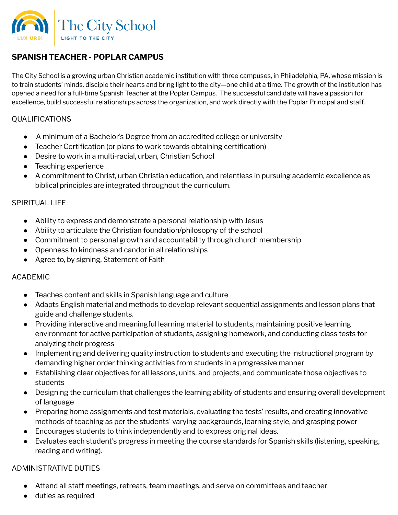

# **SPANISH TEACHER - POPLAR CAMPUS**

The City School is a growing urban Christian academic institution with three campuses, in Philadelphia, PA, whose mission is to train students' minds, disciple their hearts and bring light to the city—one child at a time. The growth of the institution has opened a need for a full-time Spanish Teacher at the Poplar Campus. The successful candidate will have a passion for excellence, build successful relationships across the organization, and work directly with the Poplar Principal and staff.

## QUALIFICATIONS

- A minimum of a Bachelor's Degree from an accredited college or university
- Teacher Certification (or plans to work towards obtaining certification)
- Desire to work in a multi-racial, urban, Christian School
- Teaching experience
- A commitment to Christ, urban Christian education, and relentless in pursuing academic excellence as biblical principles are integrated throughout the curriculum.

### SPIRITUAL LIFE

- Ability to express and demonstrate a personal relationship with Jesus
- Ability to articulate the Christian foundation/philosophy of the school
- Commitment to personal growth and accountability through church membership
- Openness to kindness and candor in all relationships
- Agree to, by signing, Statement of Faith

### ACADEMIC

- Teaches content and skills in Spanish language and culture
- Adapts English material and methods to develop relevant sequential assignments and lesson plans that guide and challenge students.
- Providing interactive and meaningful learning material to students, maintaining positive learning environment for active participation of students, assigning homework, and conducting class tests for analyzing their progress
- Implementing and delivering quality instruction to students and executing the instructional program by demanding higher order thinking activities from students in a progressive manner
- Establishing clear objectives for all lessons, units, and projects, and communicate those objectives to students
- Designing the curriculum that challenges the learning ability of students and ensuring overall development of language
- Preparing home assignments and test materials, evaluating the tests' results, and creating innovative methods of teaching as per the students' varying backgrounds, learning style, and grasping power
- Encourages students to think independently and to express original ideas.
- Evaluates each student's progress in meeting the course standards for Spanish skills (listening, speaking, reading and writing).

### ADMINISTRATIVE DUTIES

- Attend all staff meetings, retreats, team meetings, and serve on committees and teacher
- duties as required